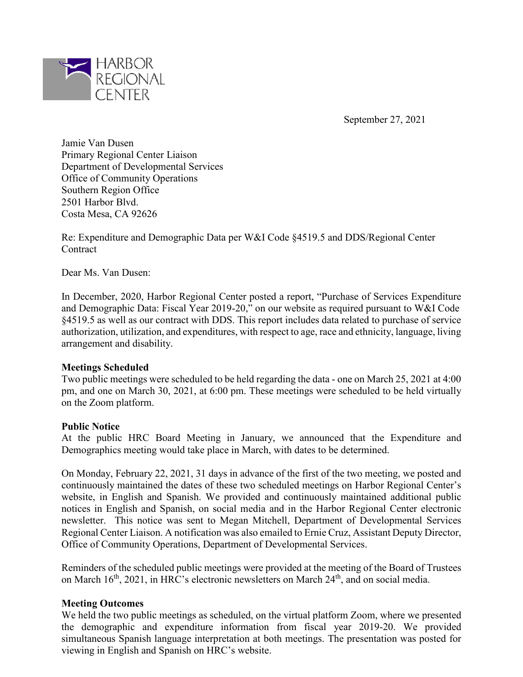

September 27, 2021

Jamie Van Dusen Primary Regional Center Liaison Department of Developmental Services Office of Community Operations Southern Region Office 2501 Harbor Blvd. Costa Mesa, CA 92626

Re: Expenditure and Demographic Data per W&I Code §4519.5 and DDS/Regional Center **Contract** 

Dear Ms. Van Dusen:

In December, 2020, Harbor Regional Center posted a report, "Purchase of Services Expenditure and Demographic Data: Fiscal Year 2019-20," on our website as required pursuant to W&I Code §4519.5 as well as our contract with DDS. This report includes data related to purchase of service authorization, utilization, and expenditures, with respect to age, race and ethnicity, language, living arrangement and disability.

#### **Meetings Scheduled**

Two public meetings were scheduled to be held regarding the data - one on March 25, 2021 at 4:00 pm, and one on March 30, 2021, at 6:00 pm. These meetings were scheduled to be held virtually on the Zoom platform.

#### **Public Notice**

At the public HRC Board Meeting in January, we announced that the Expenditure and Demographics meeting would take place in March, with dates to be determined.

On Monday, February 22, 2021, 31 days in advance of the first of the two meeting, we posted and continuously maintained the dates of these two scheduled meetings on Harbor Regional Center's website, in English and Spanish. We provided and continuously maintained additional public notices in English and Spanish, on social media and in the Harbor Regional Center electronic newsletter. This notice was sent to Megan Mitchell, Department of Developmental Services Regional Center Liaison. A notification was also emailed to Ernie Cruz, Assistant Deputy Director, Office of Community Operations, Department of Developmental Services.

Reminders of the scheduled public meetings were provided at the meeting of the Board of Trustees on March 16<sup>th</sup>, 2021, in HRC's electronic newsletters on March 24<sup>th</sup>, and on social media.

#### **Meeting Outcomes**

We held the two public meetings as scheduled, on the virtual platform Zoom, where we presented the demographic and expenditure information from fiscal year 2019-20. We provided simultaneous Spanish language interpretation at both meetings. The presentation was posted for viewing in English and Spanish on HRC's website.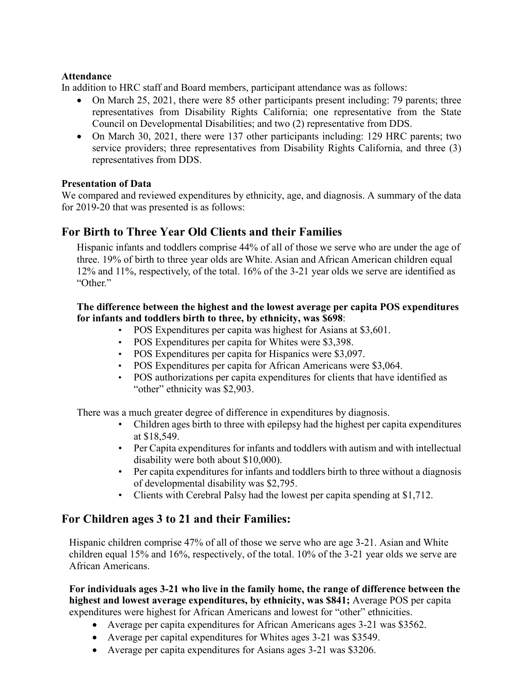### **Attendance**

In addition to HRC staff and Board members, participant attendance was as follows:

- On March 25, 2021, there were 85 other participants present including: 79 parents; three representatives from Disability Rights California; one representative from the State Council on Developmental Disabilities; and two (2) representative from DDS.
- On March 30, 2021, there were 137 other participants including: 129 HRC parents; two service providers; three representatives from Disability Rights California, and three (3) representatives from DDS.

### **Presentation of Data**

We compared and reviewed expenditures by ethnicity, age, and diagnosis. A summary of the data for 2019-20 that was presented is as follows:

# **For Birth to Three Year Old Clients and their Families**

Hispanic infants and toddlers comprise 44% of all of those we serve who are under the age of three. 19% of birth to three year olds are White. Asian and African American children equal 12% and 11%, respectively, of the total. 16% of the 3-21 year olds we serve are identified as "Other."

### **The difference between the highest and the lowest average per capita POS expenditures for infants and toddlers birth to three, by ethnicity, was \$698**:

- POS Expenditures per capita was highest for Asians at \$3,601.
- POS Expenditures per capita for Whites were \$3,398.
- POS Expenditures per capita for Hispanics were \$3,097.
- POS Expenditures per capita for African Americans were \$3,064.
- POS authorizations per capita expenditures for clients that have identified as "other" ethnicity was \$2,903.

There was a much greater degree of difference in expenditures by diagnosis.

- Children ages birth to three with epilepsy had the highest per capita expenditures at \$18,549.
- Per Capita expenditures for infants and toddlers with autism and with intellectual disability were both about \$10,000).
- Per capita expenditures for infants and toddlers birth to three without a diagnosis of developmental disability was \$2,795.
- Clients with Cerebral Palsy had the lowest per capita spending at \$1,712.

# **For Children ages 3 to 21 and their Families:**

Hispanic children comprise 47% of all of those we serve who are age 3-21. Asian and White children equal 15% and 16%, respectively, of the total. 10% of the 3-21 year olds we serve are African Americans.

**For individuals ages 3-21 who live in the family home, the range of difference between the highest and lowest average expenditures, by ethnicity, was \$841;** Average POS per capita expenditures were highest for African Americans and lowest for "other" ethnicities.

- Average per capita expenditures for African Americans ages 3-21 was \$3562.
- Average per capital expenditures for Whites ages 3-21 was \$3549.
- Average per capita expenditures for Asians ages 3-21 was \$3206.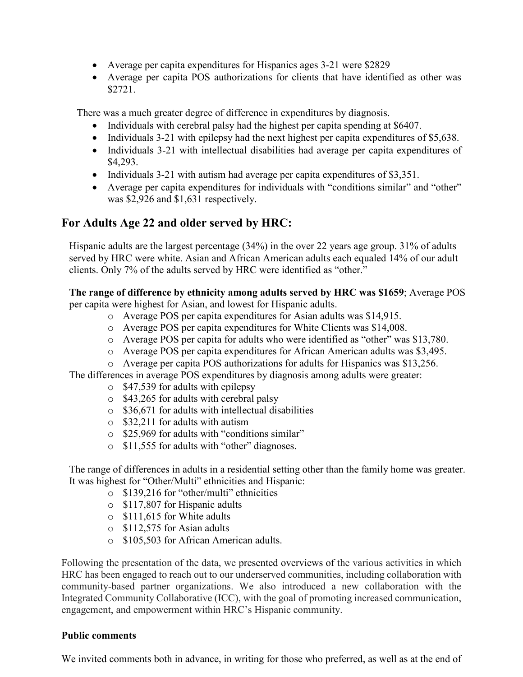- Average per capita expenditures for Hispanics ages 3-21 were \$2829
- Average per capita POS authorizations for clients that have identified as other was \$2721.

There was a much greater degree of difference in expenditures by diagnosis.

- Individuals with cerebral palsy had the highest per capita spending at \$6407.
- Individuals 3-21 with epilepsy had the next highest per capita expenditures of \$5,638.
- Individuals 3-21 with intellectual disabilities had average per capita expenditures of \$4,293.
- Individuals 3-21 with autism had average per capita expenditures of \$3,351.
- Average per capita expenditures for individuals with "conditions similar" and "other" was \$2,926 and \$1,631 respectively.

# **For Adults Age 22 and older served by HRC:**

Hispanic adults are the largest percentage (34%) in the over 22 years age group. 31% of adults served by HRC were white. Asian and African American adults each equaled 14% of our adult clients. Only 7% of the adults served by HRC were identified as "other."

**The range of difference by ethnicity among adults served by HRC was \$1659**; Average POS per capita were highest for Asian, and lowest for Hispanic adults.

- o Average POS per capita expenditures for Asian adults was \$14,915.
- o Average POS per capita expenditures for White Clients was \$14,008.
- o Average POS per capita for adults who were identified as "other" was \$13,780.
- o Average POS per capita expenditures for African American adults was \$3,495.
- o Average per capita POS authorizations for adults for Hispanics was \$13,256.

The differences in average POS expenditures by diagnosis among adults were greater:

- o \$47,539 for adults with epilepsy
- o \$43,265 for adults with cerebral palsy
- o \$36,671 for adults with intellectual disabilities
- o \$32,211 for adults with autism
- o \$25,969 for adults with "conditions similar"
- o \$11,555 for adults with "other" diagnoses.

The range of differences in adults in a residential setting other than the family home was greater. It was highest for "Other/Multi" ethnicities and Hispanic:

- o \$139,216 for "other/multi" ethnicities
- o \$117,807 for Hispanic adults
- o \$111,615 for White adults
- o \$112,575 for Asian adults
- o \$105,503 for African American adults.

Following the presentation of the data, we presented overviews of the various activities in which HRC has been engaged to reach out to our underserved communities, including collaboration with community-based partner organizations. We also introduced a new collaboration with the Integrated Community Collaborative (ICC), with the goal of promoting increased communication, engagement, and empowerment within HRC's Hispanic community.

#### **Public comments**

We invited comments both in advance, in writing for those who preferred, as well as at the end of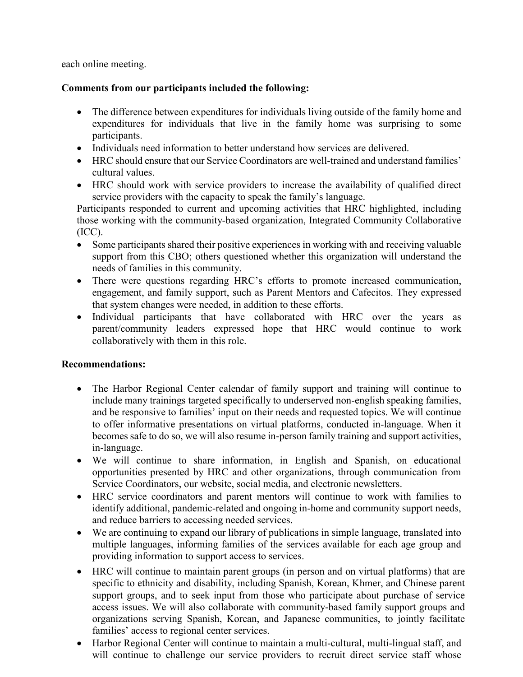each online meeting.

## **Comments from our participants included the following:**

- The difference between expenditures for individuals living outside of the family home and expenditures for individuals that live in the family home was surprising to some participants.
- Individuals need information to better understand how services are delivered.
- HRC should ensure that our Service Coordinators are well-trained and understand families' cultural values.
- HRC should work with service providers to increase the availability of qualified direct service providers with the capacity to speak the family's language.

Participants responded to current and upcoming activities that HRC highlighted, including those working with the community-based organization, Integrated Community Collaborative (ICC).

- Some participants shared their positive experiences in working with and receiving valuable support from this CBO; others questioned whether this organization will understand the needs of families in this community.
- There were questions regarding HRC's efforts to promote increased communication, engagement, and family support, such as Parent Mentors and Cafecitos. They expressed that system changes were needed, in addition to these efforts.
- Individual participants that have collaborated with HRC over the years as parent/community leaders expressed hope that HRC would continue to work collaboratively with them in this role.

### **Recommendations:**

- The Harbor Regional Center calendar of family support and training will continue to include many trainings targeted specifically to underserved non-english speaking families, and be responsive to families' input on their needs and requested topics. We will continue to offer informative presentations on virtual platforms, conducted in-language. When it becomes safe to do so, we will also resume in-person family training and support activities, in-language.
- We will continue to share information, in English and Spanish, on educational opportunities presented by HRC and other organizations, through communication from Service Coordinators, our website, social media, and electronic newsletters.
- HRC service coordinators and parent mentors will continue to work with families to identify additional, pandemic-related and ongoing in-home and community support needs, and reduce barriers to accessing needed services.
- We are continuing to expand our library of publications in simple language, translated into multiple languages, informing families of the services available for each age group and providing information to support access to services.
- HRC will continue to maintain parent groups (in person and on virtual platforms) that are specific to ethnicity and disability, including Spanish, Korean, Khmer, and Chinese parent support groups, and to seek input from those who participate about purchase of service access issues. We will also collaborate with community-based family support groups and organizations serving Spanish, Korean, and Japanese communities, to jointly facilitate families' access to regional center services.
- Harbor Regional Center will continue to maintain a multi-cultural, multi-lingual staff, and will continue to challenge our service providers to recruit direct service staff whose